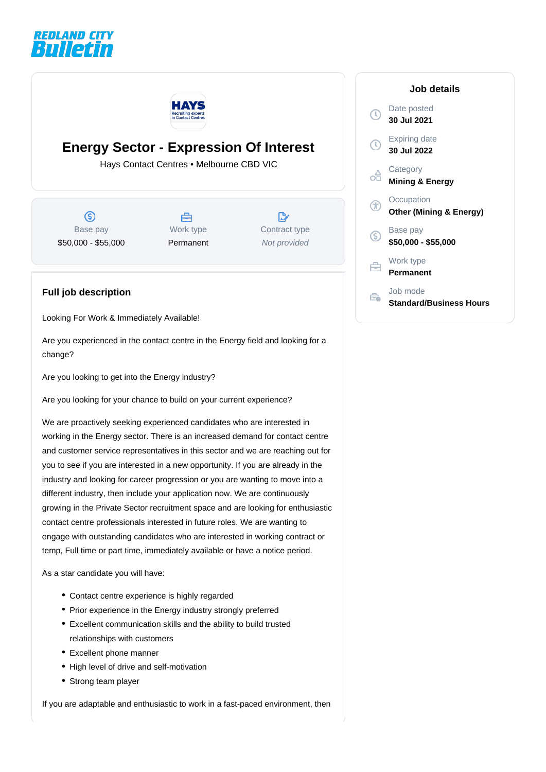



## **Energy Sector - Expression Of Interest**

Hays Contact Centres • Melbourne CBD VIC

 $\circledS$ Base pay \$50,000 - \$55,000



 $\mathbb{R}^n$ Contract type Not provided

## **Full job description**

Looking For Work & Immediately Available!

Are you experienced in the contact centre in the Energy field and looking for a change?

Are you looking to get into the Energy industry?

Are you looking for your chance to build on your current experience?

We are proactively seeking experienced candidates who are interested in working in the Energy sector. There is an increased demand for contact centre and customer service representatives in this sector and we are reaching out for you to see if you are interested in a new opportunity. If you are already in the industry and looking for career progression or you are wanting to move into a different industry, then include your application now. We are continuously growing in the Private Sector recruitment space and are looking for enthusiastic contact centre professionals interested in future roles. We are wanting to engage with outstanding candidates who are interested in working contract or temp, Full time or part time, immediately available or have a notice period.

As a star candidate you will have:

- Contact centre experience is highly regarded
- Prior experience in the Energy industry strongly preferred
- Excellent communication skills and the ability to build trusted relationships with customers
- Excellent phone manner
- High level of drive and self-motivation
- Strong team player

If you are adaptable and enthusiastic to work in a fast-paced environment, then

|             | Job details                                      |
|-------------|--------------------------------------------------|
|             | Date posted<br>30 Jul 2021                       |
| $\mathbb C$ | Expiring date<br>30 Jul 2022                     |
|             | Category<br><b>Mining &amp; Energy</b>           |
|             | Occupation<br><b>Other (Mining &amp; Energy)</b> |
| (\$         | Base pay<br>\$50,000 - \$55,000                  |
|             | Work type<br>Permanent                           |
|             | Job mode<br>$\cdot$ $\cdot$ $\cdot$              |

**Standard/Business Hours**